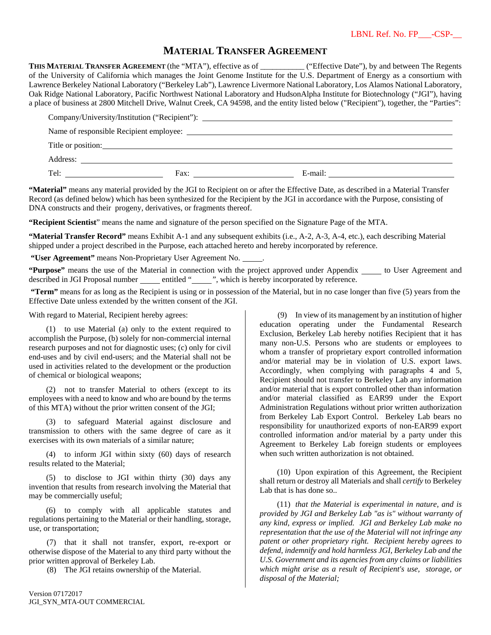## **MATERIAL TRANSFER AGREEMENT**

**THIS MATERIAL TRANSFER AGREEMENT** (the "MTA"), effective as of \_\_\_\_\_\_\_\_\_\_\_ ("Effective Date"), by and between The Regents of the University of California which manages the Joint Genome Institute for the U.S. Department of Energy as a consortium with Lawrence Berkeley National Laboratory ("Berkeley Lab"), Lawrence Livermore National Laboratory, Los Alamos National Laboratory, Oak Ridge National Laboratory, Pacific Northwest National Laboratory and HudsonAlpha Institute for Biotechnology ("JGI"), having a place of business at 2800 Mitchell Drive, Walnut Creek, CA 94598, and the entity listed below ("Recipient"), together, the "Parties":

| Company/University/Institution ("Recipient"): ___________________________________ |                                                                                                                                                                                                                                              |         |  |
|-----------------------------------------------------------------------------------|----------------------------------------------------------------------------------------------------------------------------------------------------------------------------------------------------------------------------------------------|---------|--|
|                                                                                   |                                                                                                                                                                                                                                              |         |  |
| Title or position:                                                                |                                                                                                                                                                                                                                              |         |  |
|                                                                                   |                                                                                                                                                                                                                                              |         |  |
| Tel:                                                                              | Fax:<br><u>and the state of the state of the state of the state of the state of the state of the state of the state of the state of the state of the state of the state of the state of the state of the state of the state of the state</u> | E-mail: |  |

**"Material"** means any material provided by the JGI to Recipient on or after the Effective Date, as described in a Material Transfer Record (as defined below) which has been synthesized for the Recipient by the JGI in accordance with the Purpose, consisting of DNA constructs and their progeny, derivatives, or fragments thereof.

**"Recipient Scientist**" means the name and signature of the person specified on the Signature Page of the MTA.

**"Material Transfer Record"** means Exhibit A-1 and any subsequent exhibits (i.e., A-2, A-3, A-4, etc.), each describing Material shipped under a project described in the Purpose, each attached hereto and hereby incorporated by reference.

 **"User Agreement"** means Non-Proprietary User Agreement No. .

**"Purpose"** means the use of the Material in connection with the project approved under Appendix to User Agreement and described in JGI Proposal number <u>entitled "</u>, which is hereby incorporated by reference.

 **"Term"** means for as long as the Recipient is using or in possession of the Material, but in no case longer than five (5) years from the Effective Date unless extended by the written consent of the JGI.

With regard to Material, Recipient hereby agrees:

(1) to use Material (a) only to the extent required to accomplish the Purpose, (b) solely for non-commercial internal research purposes and not for diagnostic uses; (c) only for civil end-uses and by civil end-users; and the Material shall not be used in activities related to the development or the production of chemical or biological weapons;

(2) not to transfer Material to others (except to its employees with a need to know and who are bound by the terms of this MTA) without the prior written consent of the JGI;

(3) to safeguard Material against disclosure and transmission to others with the same degree of care as it exercises with its own materials of a similar nature;

(4) to inform JGI within sixty (60) days of research results related to the Material;

(5) to disclose to JGI within thirty (30) days any invention that results from research involving the Material that may be commercially useful;

(6) to comply with all applicable statutes and regulations pertaining to the Material or their handling, storage, use, or transportation;

(7) that it shall not transfer, export, re-export or otherwise dispose of the Material to any third party without the prior written approval of Berkeley Lab.

(8) The JGI retains ownership of the Material.

(9) In view of its management by an institution of higher education operating under the Fundamental Research Exclusion, Berkeley Lab hereby notifies Recipient that it has many non-U.S. Persons who are students or employees to whom a transfer of proprietary export controlled information and/or material may be in violation of U.S. export laws. Accordingly, when complying with paragraphs 4 and 5, Recipient should not transfer to Berkeley Lab any information and/or material that is export controlled other than information and/or material classified as EAR99 under the Export Administration Regulations without prior written authorization from Berkeley Lab Export Control. Berkeley Lab bears no responsibility for unauthorized exports of non-EAR99 export controlled information and/or material by a party under this Agreement to Berkeley Lab foreign students or employees when such written authorization is not obtained.

(10) Upon expiration of this Agreement, the Recipient shall return or destroy all Materials and shall *certify* to Berkeley Lab that is has done so..

(11) *that the Material is experimental in nature, and is provided by JGI and Berkeley Lab "as is" without warranty of any kind, express or implied. JGI and Berkeley Lab make no representation that the use of the Material will not infringe any patent or other proprietary right. Recipient hereby agrees to defend, indemnify and hold harmless JGI, Berkeley Lab and the U.S. Government and its agencies from any claims or liabilities which might arise as a result of Recipient's use, storage, or disposal of the Material;*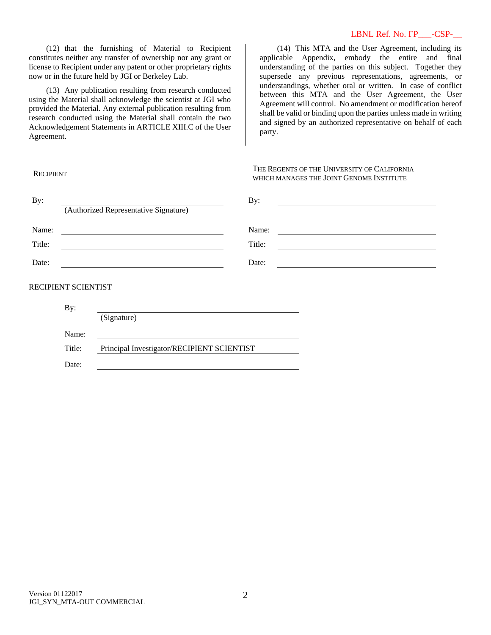### LBNL Ref. No. FP\_\_\_-CSP-\_\_

(12) that the furnishing of Material to Recipient constitutes neither any transfer of ownership nor any grant or license to Recipient under any patent or other proprietary rights now or in the future held by JGI or Berkeley Lab.

(13) Any publication resulting from research conducted using the Material shall acknowledge the scientist at JGI who provided the Material. Any external publication resulting from research conducted using the Material shall contain the two Acknowledgement Statements in ARTICLE XIII.C of the User Agreement.

Title: Principal Investigator/RECIPIENT SCIENTIST

(14) This MTA and the User Agreement, including its applicable Appendix, embody the entire and final understanding of the parties on this subject. Together they supersede any previous representations, agreements, or understandings, whether oral or written. In case of conflict between this MTA and the User Agreement, the User Agreement will control. No amendment or modification hereof shall be valid or binding upon the parties unless made in writing and signed by an authorized representative on behalf of each party.

#### **RECIPIENT**

Name:

Date:

THE REGENTS OF THE UNIVERSITY OF CALIFORNIA WHICH MANAGES THE JOINT GENOME INSTITUTE

| By:    |                                               | By:    |  |
|--------|-----------------------------------------------|--------|--|
|        | (Authorized Representative Signature)         |        |  |
| Name:  | <u> 1989 - Andrea Andrew Maria (h. 1989).</u> | Name:  |  |
| Title: |                                               | Title: |  |
| Date:  |                                               | Date:  |  |
|        | RECIPIENT SCIENTIST                           |        |  |
|        |                                               |        |  |
|        | By:                                           |        |  |
|        | (Signature)                                   |        |  |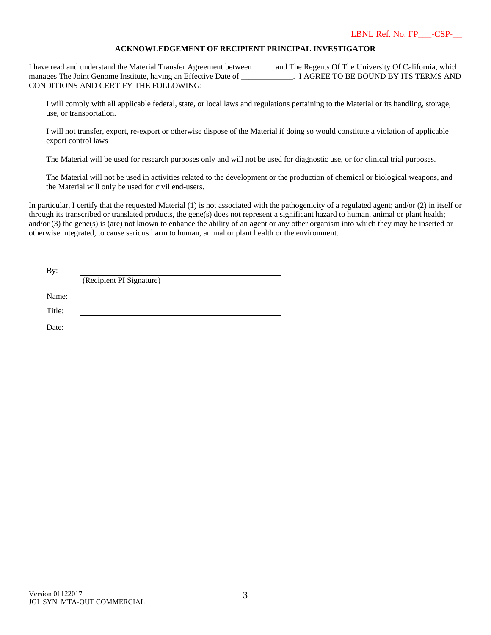## **ACKNOWLEDGEMENT OF RECIPIENT PRINCIPAL INVESTIGATOR**

I have read and understand the Material Transfer Agreement between and The Regents Of The University Of California, which manages The Joint Genome Institute, having an Effective Date of \_\_\_\_\_\_\_\_\_\_\_\_\_. I AGREE TO BE BOUND BY ITS TERMS AND CONDITIONS AND CERTIFY THE FOLLOWING:

I will comply with all applicable federal, state, or local laws and regulations pertaining to the Material or its handling, storage, use, or transportation.

I will not transfer, export, re-export or otherwise dispose of the Material if doing so would constitute a violation of applicable export control laws

The Material will be used for research purposes only and will not be used for diagnostic use, or for clinical trial purposes.

The Material will not be used in activities related to the development or the production of chemical or biological weapons, and the Material will only be used for civil end-users.

In particular, I certify that the requested Material (1) is not associated with the pathogenicity of a regulated agent; and/or (2) in itself or through its transcribed or translated products, the gene(s) does not represent a significant hazard to human, animal or plant health; and/or (3) the gene(s) is (are) not known to enhance the ability of an agent or any other organism into which they may be inserted or otherwise integrated, to cause serious harm to human, animal or plant health or the environment.

| By:    |                          |
|--------|--------------------------|
|        | (Recipient PI Signature) |
| Name:  |                          |
| Title: |                          |
| Date:  |                          |